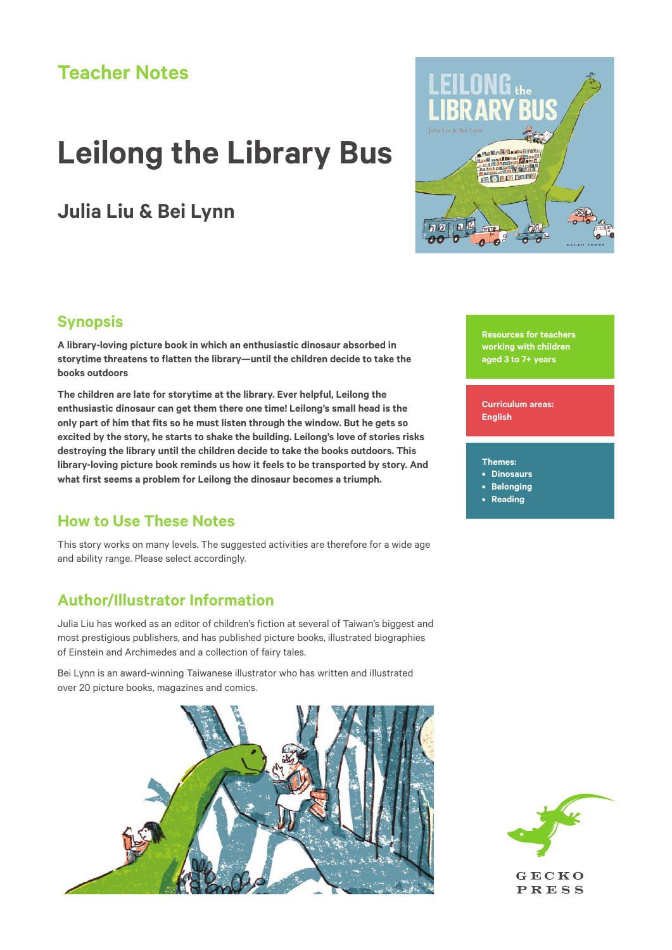# **Teacher Notes**

# **Leilong the Library Bus**

# **Julia Liu & Bei Lynn**



## **Synopsis**

**A library-loving picture book in which an enthusiastic dinosaur absorbed in storytime threatens to flatten the library—until the children decide to take the books outdoors**

**The children are late for storytime at the library. Ever helpful, Leilong the enthusiastic dinosaur can get them there one time! Leilong's small head is the only part of him that fits so he must listen through the window. But he gets so excited by the story, he starts to shake the building. Leilong's love of stories risks destroying the library until the children decide to take the books outdoors. This library-loving picture book reminds us how it feels to be transported by story. And what first seems a problem for Leilong the dinosaur becomes a triumph.**

## **How to Use These Notes**

This story works on many levels. The suggested activities are therefore for a wide age and ability range. Please select accordingly.

## **Author/Illustrator Information**

Julia Liu has worked as an editor of children's fiction at several of Taiwan's biggest and most prestigious publishers, and has published picture books, illustrated biographies of Einstein and Archimedes and a collection of fairy tales.

Bei Lynn is an award-winning Taiwanese illustrator who has written and illustrated over 20 picture books, magazines and comics.



**Resources for teachers working with children aged 3 to 7+ years** 

**Curriculum areas: English**

#### **Themes:**

- **• Dinosaurs**
- **• Belonging**
- **• Reading**



**PRESS**